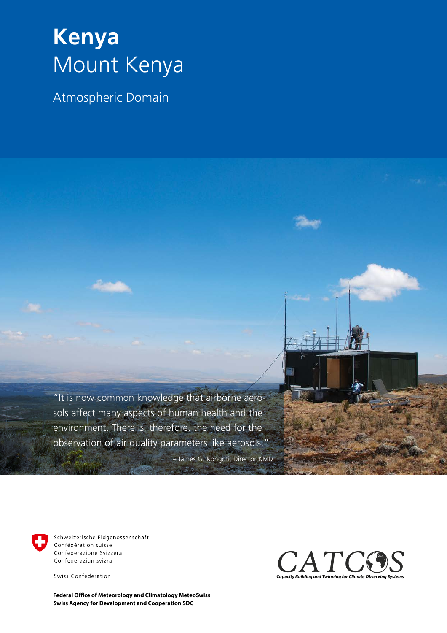## **Kenya** Mount Kenya

Atmospheric Domain

"It is now common knowledge that airborne aerosols affect many aspects of human health and the environment. There is, therefore, the need for the observation of air quality parameters like aerosols." – James G. Kongoti, Director KMD



Schweizerische Eidgenossenschaft Confédération suisse Confederazione Svizzera Confederaziun svizra

Swiss Confederation

**Swiss Agency for Development and Cooperation SDC Federal Office of Meteorology and Climatology MeteoSwiss**